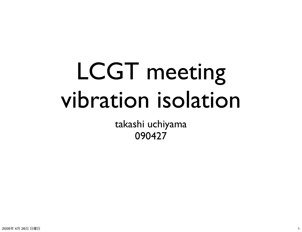## LCGT meeting vibration isolation

takashi uchiyama 090427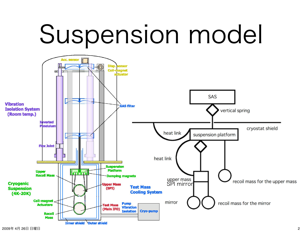# Suspension model

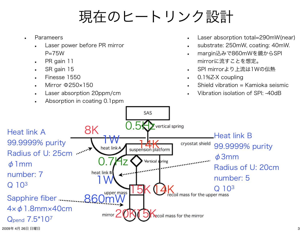### 現在のヒートリンク設計

- Parameers
	- Laser power before PR mirror  $P = 75W$
	- PR gain 11
	- SR gain 15
	- Finesse 1550
	- Mirror Φ250×150
	- Laser absorption 20ppm/cm
	- Absorption in coating 0.1ppm
- Laser absorption total=290mW(near)
- substrate: 250mW, coating: 40mW.
- margin込みで860mWを鏡からSPI mirrorに流すことを想定。
- SPI mirrorより上流は1Wの伝熱
- 0.1%Z-X coupling
- Shield vibration = Kamioka seismic
- Vibration isolation of SPI: -40dB

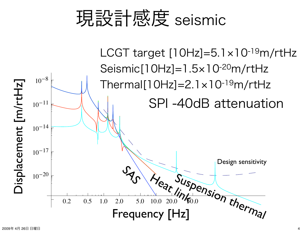### 現設計感度 seismic

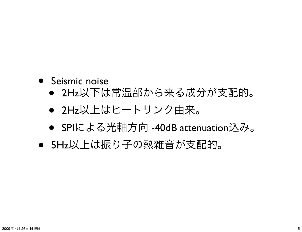#### • Seismic noise

- 2Hz以下は常温部から来る成分が支配的。
- 2Hz以上はヒートリンク由来。
- SPIによる光軸方向 -40dB attenuation込み。
- 5Hz以上は振り子の熱雑音が支配的。